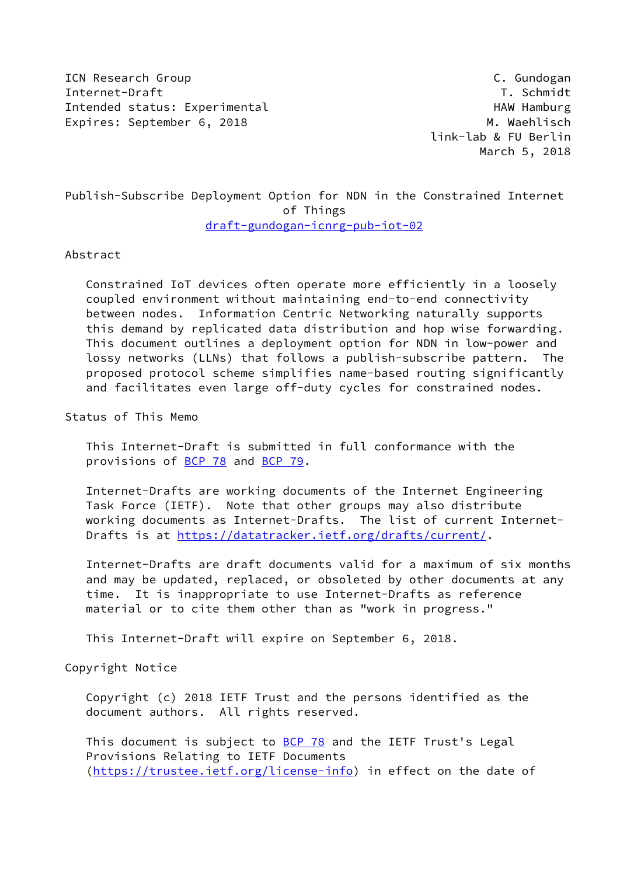**ICN Research Group C. Gundogan** Internet-Draft T. Schmidt Intended status: Experimental example and HAW Hamburg HAW Hamburg Expires: September 6, 2018 M. Waehlisch

 link-lab & FU Berlin March 5, 2018

## Publish-Subscribe Deployment Option for NDN in the Constrained Internet of Things [draft-gundogan-icnrg-pub-iot-02](https://datatracker.ietf.org/doc/pdf/draft-gundogan-icnrg-pub-iot-02)

#### Abstract

 Constrained IoT devices often operate more efficiently in a loosely coupled environment without maintaining end-to-end connectivity between nodes. Information Centric Networking naturally supports this demand by replicated data distribution and hop wise forwarding. This document outlines a deployment option for NDN in low-power and lossy networks (LLNs) that follows a publish-subscribe pattern. The proposed protocol scheme simplifies name-based routing significantly and facilitates even large off-duty cycles for constrained nodes.

Status of This Memo

 This Internet-Draft is submitted in full conformance with the provisions of [BCP 78](https://datatracker.ietf.org/doc/pdf/bcp78) and [BCP 79](https://datatracker.ietf.org/doc/pdf/bcp79).

 Internet-Drafts are working documents of the Internet Engineering Task Force (IETF). Note that other groups may also distribute working documents as Internet-Drafts. The list of current Internet- Drafts is at<https://datatracker.ietf.org/drafts/current/>.

 Internet-Drafts are draft documents valid for a maximum of six months and may be updated, replaced, or obsoleted by other documents at any time. It is inappropriate to use Internet-Drafts as reference material or to cite them other than as "work in progress."

This Internet-Draft will expire on September 6, 2018.

Copyright Notice

 Copyright (c) 2018 IETF Trust and the persons identified as the document authors. All rights reserved.

This document is subject to **[BCP 78](https://datatracker.ietf.org/doc/pdf/bcp78)** and the IETF Trust's Legal Provisions Relating to IETF Documents [\(https://trustee.ietf.org/license-info](https://trustee.ietf.org/license-info)) in effect on the date of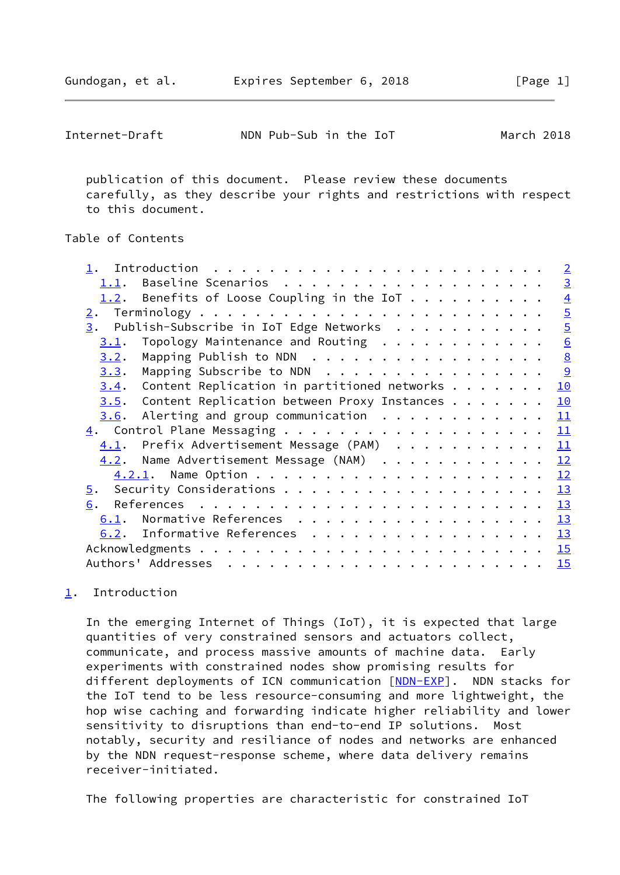<span id="page-1-1"></span>

| Internet-Draft | NDN Pub-Sub in the IoT | March 2018 |  |
|----------------|------------------------|------------|--|
|----------------|------------------------|------------|--|

 publication of this document. Please review these documents carefully, as they describe your rights and restrictions with respect to this document.

### Table of Contents

| $\overline{3}$<br>Benefits of Loose Coupling in the IoT<br>$\overline{4}$<br>1.2.<br>$\overline{5}$<br>2.<br>$\overline{5}$<br>$\underline{3}$ . Publish-Subscribe in IoT Edge Networks<br>6<br>Topology Maintenance and Routing<br>3.1.<br>$\underline{8}$<br>Mapping Publish to NDN<br>3.2.<br>$\overline{9}$<br>Mapping Subscribe to NDN<br>3.3.<br>Content Replication in partitioned networks $\dots$<br>10<br>3.4.<br>Content Replication between Proxy Instances<br>10<br>3.5.<br>Alerting and group communication $\dots \dots \dots \dots$<br>11<br>3.6.<br>11<br>4.1. Prefix Advertisement Message (PAM) 11<br>4.2. Name Advertisement Message (NAM)<br>12<br>12<br>13<br>5.<br>6.<br>Normative References $\frac{13}{2}$<br>6.1.<br>Informative References $\frac{13}{2}$<br>6.2.<br>15 |  |  |  |  | $\overline{2}$ |
|----------------------------------------------------------------------------------------------------------------------------------------------------------------------------------------------------------------------------------------------------------------------------------------------------------------------------------------------------------------------------------------------------------------------------------------------------------------------------------------------------------------------------------------------------------------------------------------------------------------------------------------------------------------------------------------------------------------------------------------------------------------------------------------------------|--|--|--|--|----------------|
|                                                                                                                                                                                                                                                                                                                                                                                                                                                                                                                                                                                                                                                                                                                                                                                                    |  |  |  |  |                |
|                                                                                                                                                                                                                                                                                                                                                                                                                                                                                                                                                                                                                                                                                                                                                                                                    |  |  |  |  |                |
|                                                                                                                                                                                                                                                                                                                                                                                                                                                                                                                                                                                                                                                                                                                                                                                                    |  |  |  |  |                |
|                                                                                                                                                                                                                                                                                                                                                                                                                                                                                                                                                                                                                                                                                                                                                                                                    |  |  |  |  |                |
|                                                                                                                                                                                                                                                                                                                                                                                                                                                                                                                                                                                                                                                                                                                                                                                                    |  |  |  |  |                |
|                                                                                                                                                                                                                                                                                                                                                                                                                                                                                                                                                                                                                                                                                                                                                                                                    |  |  |  |  |                |
|                                                                                                                                                                                                                                                                                                                                                                                                                                                                                                                                                                                                                                                                                                                                                                                                    |  |  |  |  |                |
|                                                                                                                                                                                                                                                                                                                                                                                                                                                                                                                                                                                                                                                                                                                                                                                                    |  |  |  |  |                |
|                                                                                                                                                                                                                                                                                                                                                                                                                                                                                                                                                                                                                                                                                                                                                                                                    |  |  |  |  |                |
|                                                                                                                                                                                                                                                                                                                                                                                                                                                                                                                                                                                                                                                                                                                                                                                                    |  |  |  |  |                |
|                                                                                                                                                                                                                                                                                                                                                                                                                                                                                                                                                                                                                                                                                                                                                                                                    |  |  |  |  |                |
|                                                                                                                                                                                                                                                                                                                                                                                                                                                                                                                                                                                                                                                                                                                                                                                                    |  |  |  |  |                |
|                                                                                                                                                                                                                                                                                                                                                                                                                                                                                                                                                                                                                                                                                                                                                                                                    |  |  |  |  |                |
|                                                                                                                                                                                                                                                                                                                                                                                                                                                                                                                                                                                                                                                                                                                                                                                                    |  |  |  |  |                |
|                                                                                                                                                                                                                                                                                                                                                                                                                                                                                                                                                                                                                                                                                                                                                                                                    |  |  |  |  |                |
|                                                                                                                                                                                                                                                                                                                                                                                                                                                                                                                                                                                                                                                                                                                                                                                                    |  |  |  |  |                |
|                                                                                                                                                                                                                                                                                                                                                                                                                                                                                                                                                                                                                                                                                                                                                                                                    |  |  |  |  |                |
|                                                                                                                                                                                                                                                                                                                                                                                                                                                                                                                                                                                                                                                                                                                                                                                                    |  |  |  |  |                |
|                                                                                                                                                                                                                                                                                                                                                                                                                                                                                                                                                                                                                                                                                                                                                                                                    |  |  |  |  |                |
|                                                                                                                                                                                                                                                                                                                                                                                                                                                                                                                                                                                                                                                                                                                                                                                                    |  |  |  |  |                |

## <span id="page-1-0"></span>[1](#page-1-0). Introduction

 In the emerging Internet of Things (IoT), it is expected that large quantities of very constrained sensors and actuators collect, communicate, and process massive amounts of machine data. Early experiments with constrained nodes show promising results for different deployments of ICN communication [[NDN-EXP\]](#page-14-0). NDN stacks for the IoT tend to be less resource-consuming and more lightweight, the hop wise caching and forwarding indicate higher reliability and lower sensitivity to disruptions than end-to-end IP solutions. Most notably, security and resiliance of nodes and networks are enhanced by the NDN request-response scheme, where data delivery remains receiver-initiated.

The following properties are characteristic for constrained IoT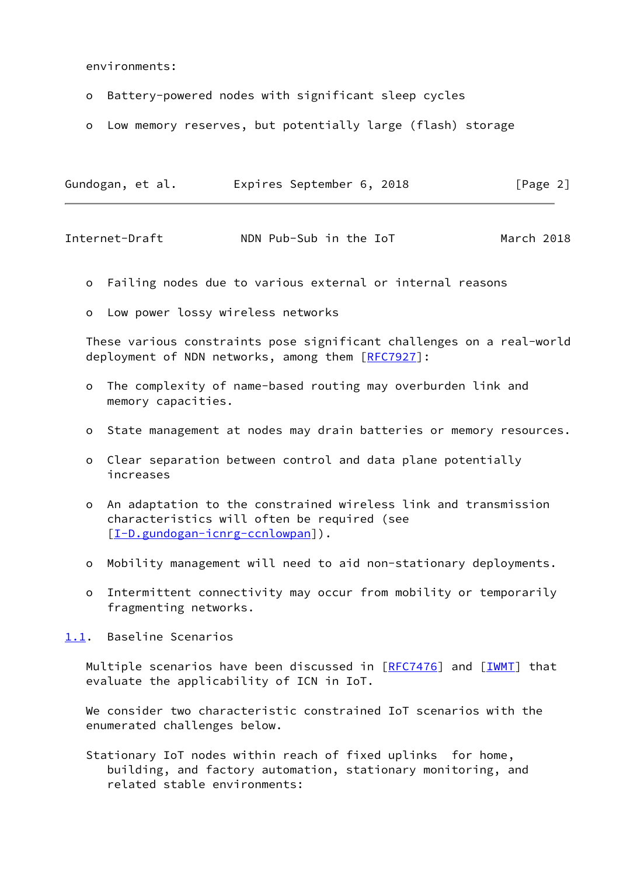environments:

- o Battery-powered nodes with significant sleep cycles
- o Low memory reserves, but potentially large (flash) storage

| Gundogan, et al. | Expires September 6, 2018 | [Page 2] |
|------------------|---------------------------|----------|
|                  |                           |          |

<span id="page-2-1"></span>Internet-Draft NDN Pub-Sub in the IoT March 2018

- o Failing nodes due to various external or internal reasons
- o Low power lossy wireless networks

 These various constraints pose significant challenges on a real-world deployment of NDN networks, among them [\[RFC7927](https://datatracker.ietf.org/doc/pdf/rfc7927)]:

- o The complexity of name-based routing may overburden link and memory capacities.
- o State management at nodes may drain batteries or memory resources.
- o Clear separation between control and data plane potentially increases
- o An adaptation to the constrained wireless link and transmission characteristics will often be required (see [[I-D.gundogan-icnrg-ccnlowpan\]](#page-14-1)).
- o Mobility management will need to aid non-stationary deployments.
- o Intermittent connectivity may occur from mobility or temporarily fragmenting networks.

<span id="page-2-0"></span>[1.1](#page-2-0). Baseline Scenarios

Multiple scenarios have been discussed in  $[REC7476]$  and  $[IWMT]$  $[IWMT]$  that evaluate the applicability of ICN in IoT.

 We consider two characteristic constrained IoT scenarios with the enumerated challenges below.

 Stationary IoT nodes within reach of fixed uplinks for home, building, and factory automation, stationary monitoring, and related stable environments: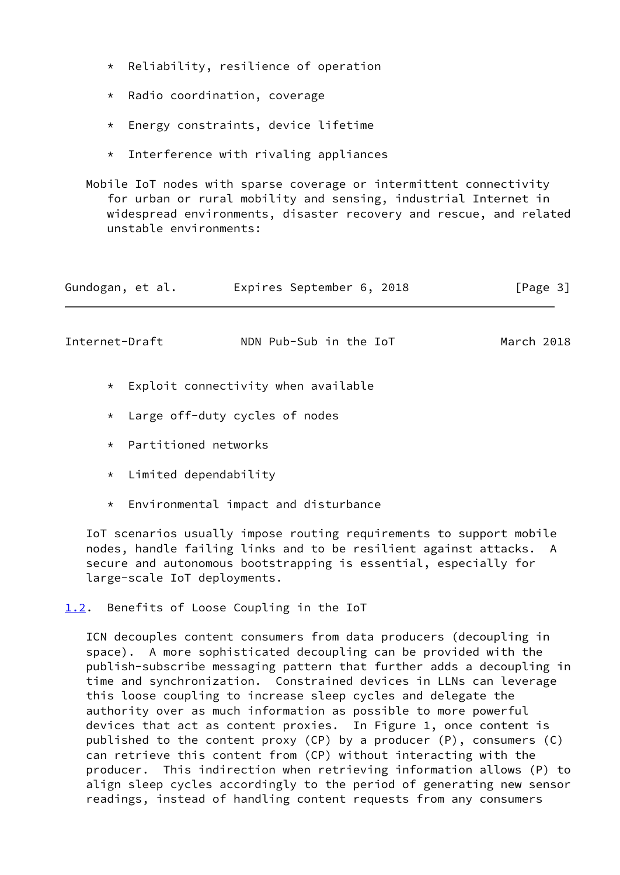- \* Reliability, resilience of operation
- \* Radio coordination, coverage
- \* Energy constraints, device lifetime
- $*$  Interference with rivaling appliances

 Mobile IoT nodes with sparse coverage or intermittent connectivity for urban or rural mobility and sensing, industrial Internet in widespread environments, disaster recovery and rescue, and related unstable environments:

<span id="page-3-1"></span>

| Gundogan, et al. | Expires September 6, 2018 | $\lceil \text{Page } 3 \rceil$ |
|------------------|---------------------------|--------------------------------|
| Internet-Draft   | NDN Pub-Sub in the IoT    | March 2018                     |

- $*$  Exploit connectivity when available
- \* Large off-duty cycles of nodes
- \* Partitioned networks
- \* Limited dependability
- \* Environmental impact and disturbance

 IoT scenarios usually impose routing requirements to support mobile nodes, handle failing links and to be resilient against attacks. A secure and autonomous bootstrapping is essential, especially for large-scale IoT deployments.

<span id="page-3-0"></span>[1.2](#page-3-0). Benefits of Loose Coupling in the IoT

 ICN decouples content consumers from data producers (decoupling in space). A more sophisticated decoupling can be provided with the publish-subscribe messaging pattern that further adds a decoupling in time and synchronization. Constrained devices in LLNs can leverage this loose coupling to increase sleep cycles and delegate the authority over as much information as possible to more powerful devices that act as content proxies. In Figure 1, once content is published to the content proxy (CP) by a producer (P), consumers (C) can retrieve this content from (CP) without interacting with the producer. This indirection when retrieving information allows (P) to align sleep cycles accordingly to the period of generating new sensor readings, instead of handling content requests from any consumers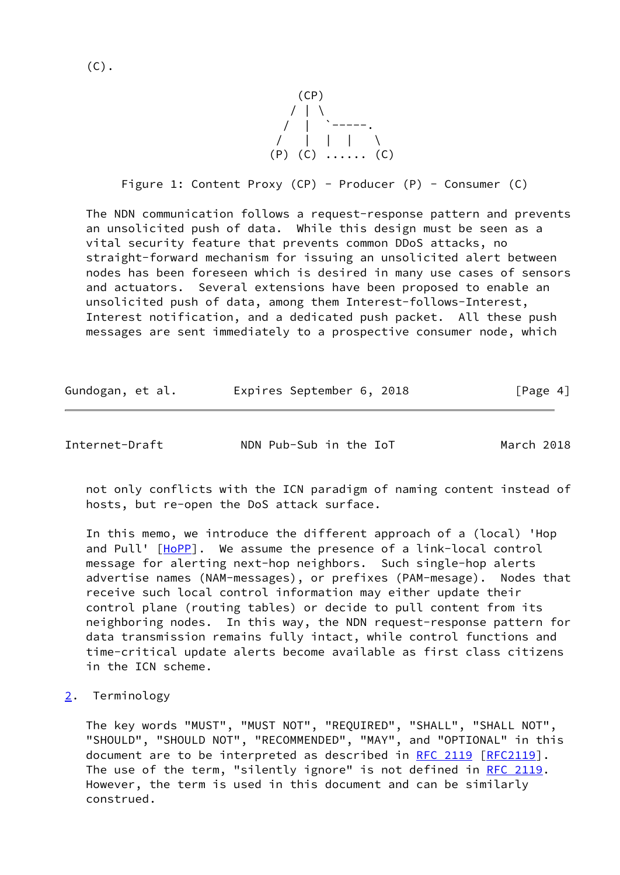$(C)$ .



Figure 1: Content Proxy (CP) - Producer (P) - Consumer (C)

 The NDN communication follows a request-response pattern and prevents an unsolicited push of data. While this design must be seen as a vital security feature that prevents common DDoS attacks, no straight-forward mechanism for issuing an unsolicited alert between nodes has been foreseen which is desired in many use cases of sensors and actuators. Several extensions have been proposed to enable an unsolicited push of data, among them Interest-follows-Interest, Interest notification, and a dedicated push packet. All these push messages are sent immediately to a prospective consumer node, which

| Gundogan, et al. | Expires September 6, 2018 | [Page 4] |
|------------------|---------------------------|----------|
|------------------|---------------------------|----------|

<span id="page-4-1"></span>Internet-Draft NDN Pub-Sub in the IoT March 2018

 not only conflicts with the ICN paradigm of naming content instead of hosts, but re-open the DoS attack surface.

 In this memo, we introduce the different approach of a (local) 'Hop and Pull' [[HoPP\]](#page-13-5). We assume the presence of a link-local control message for alerting next-hop neighbors. Such single-hop alerts advertise names (NAM-messages), or prefixes (PAM-mesage). Nodes that receive such local control information may either update their control plane (routing tables) or decide to pull content from its neighboring nodes. In this way, the NDN request-response pattern for data transmission remains fully intact, while control functions and time-critical update alerts become available as first class citizens in the ICN scheme.

#### <span id="page-4-0"></span>[2](#page-4-0). Terminology

 The key words "MUST", "MUST NOT", "REQUIRED", "SHALL", "SHALL NOT", "SHOULD", "SHOULD NOT", "RECOMMENDED", "MAY", and "OPTIONAL" in this document are to be interpreted as described in [RFC 2119 \[RFC2119](https://datatracker.ietf.org/doc/pdf/rfc2119)]. The use of the term, "silently ignore" is not defined in [RFC 2119](https://datatracker.ietf.org/doc/pdf/rfc2119). However, the term is used in this document and can be similarly construed.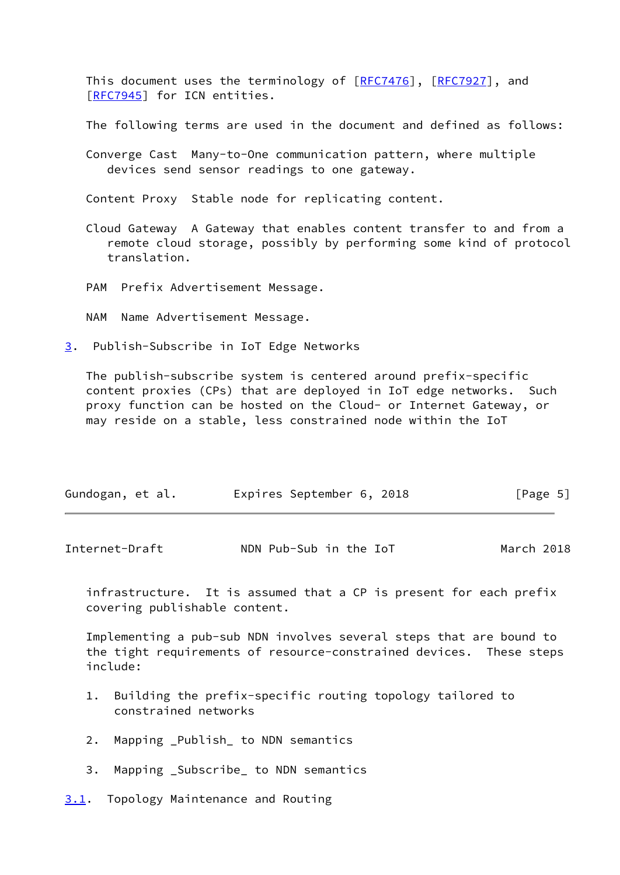This document uses the terminology of [[RFC7476](https://datatracker.ietf.org/doc/pdf/rfc7476)], [\[RFC7927](https://datatracker.ietf.org/doc/pdf/rfc7927)], and [\[RFC7945](https://datatracker.ietf.org/doc/pdf/rfc7945)] for ICN entities.

The following terms are used in the document and defined as follows:

 Converge Cast Many-to-One communication pattern, where multiple devices send sensor readings to one gateway.

Content Proxy Stable node for replicating content.

- Cloud Gateway A Gateway that enables content transfer to and from a remote cloud storage, possibly by performing some kind of protocol translation.
- PAM Prefix Advertisement Message.
- NAM Name Advertisement Message.
- <span id="page-5-0"></span>[3](#page-5-0). Publish-Subscribe in IoT Edge Networks

 The publish-subscribe system is centered around prefix-specific content proxies (CPs) that are deployed in IoT edge networks. Such proxy function can be hosted on the Cloud- or Internet Gateway, or may reside on a stable, less constrained node within the IoT

| Gundogan, et al. | [Page 5]<br>Expires September 6, 2018 |
|------------------|---------------------------------------|
|------------------|---------------------------------------|

<span id="page-5-2"></span>

| Internet-Draft | NDN Pub-Sub in the IoT | March 2018 |  |
|----------------|------------------------|------------|--|
|----------------|------------------------|------------|--|

 infrastructure. It is assumed that a CP is present for each prefix covering publishable content.

 Implementing a pub-sub NDN involves several steps that are bound to the tight requirements of resource-constrained devices. These steps include:

- 1. Building the prefix-specific routing topology tailored to constrained networks
- 2. Mapping \_Publish\_ to NDN semantics
- 3. Mapping \_Subscribe\_ to NDN semantics
- <span id="page-5-1"></span>[3.1](#page-5-1). Topology Maintenance and Routing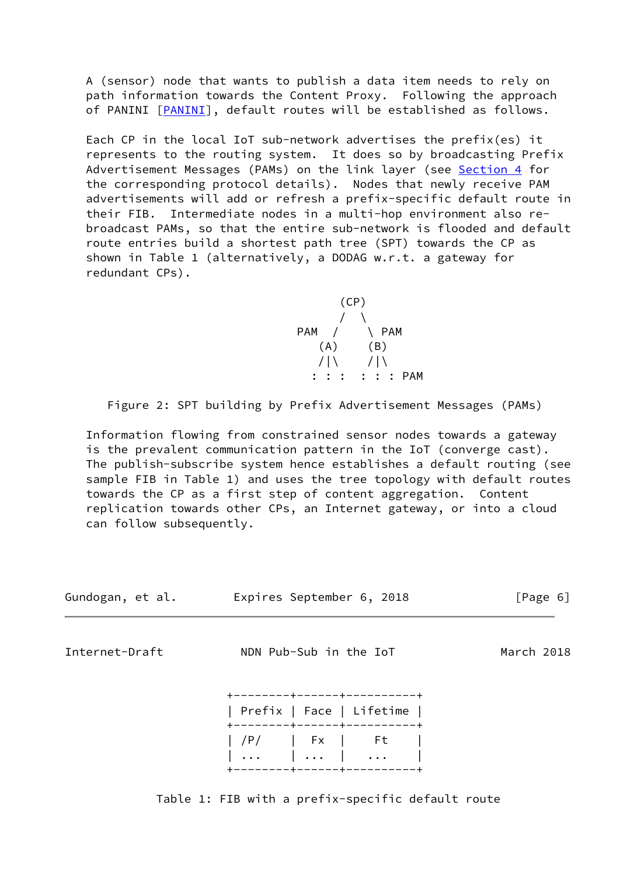A (sensor) node that wants to publish a data item needs to rely on path information towards the Content Proxy. Following the approach of [PANINI](#page-14-3) [PANINI], default routes will be established as follows.

 Each CP in the local IoT sub-network advertises the prefix(es) it represents to the routing system. It does so by broadcasting Prefix Advertisement Messages (PAMs) on the link layer (see [Section 4](#page-11-2) for the corresponding protocol details). Nodes that newly receive PAM advertisements will add or refresh a prefix-specific default route in their FIB. Intermediate nodes in a multi-hop environment also re broadcast PAMs, so that the entire sub-network is flooded and default route entries build a shortest path tree (SPT) towards the CP as shown in Table 1 (alternatively, a DODAG w.r.t. a gateway for redundant CPs).

 $(CP)$  $\sqrt{2}$ example and the PAM  $/$   $\vee$  PAM  $(A)$   $(B)$  $/|\n\angle$  /|\ : : : : : : PAM

Figure 2: SPT building by Prefix Advertisement Messages (PAMs)

 Information flowing from constrained sensor nodes towards a gateway is the prevalent communication pattern in the IoT (converge cast). The publish-subscribe system hence establishes a default routing (see sample FIB in Table 1) and uses the tree topology with default routes towards the CP as a first step of content aggregation. Content replication towards other CPs, an Internet gateway, or into a cloud can follow subsequently.

| Gundogan, et al. | Expires September 6, 2018  | [Page 6]   |
|------------------|----------------------------|------------|
| Internet-Draft   | NDN Pub-Sub in the IoT     | March 2018 |
|                  | -------+------+----------+ |            |

Table 1: FIB with a prefix-specific default route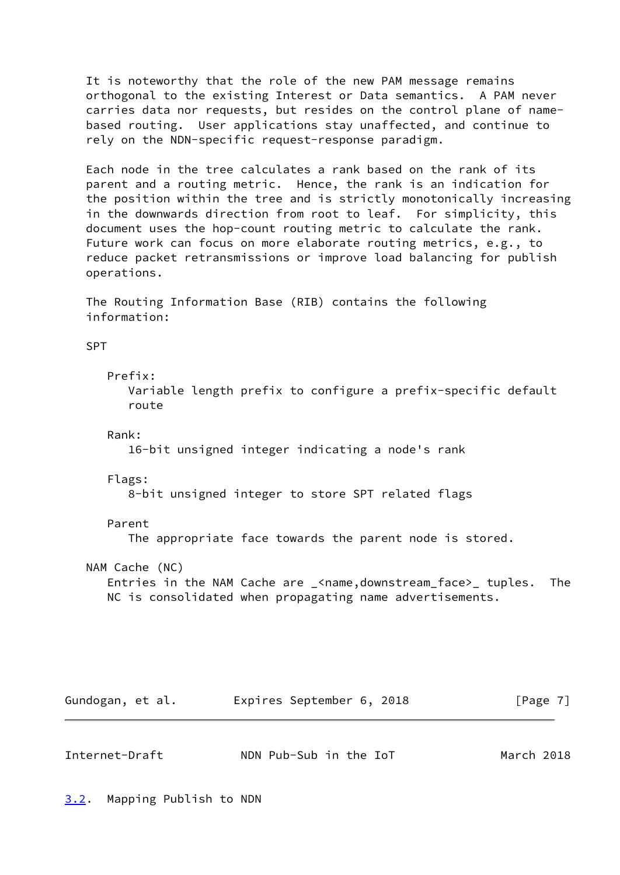It is noteworthy that the role of the new PAM message remains orthogonal to the existing Interest or Data semantics. A PAM never carries data nor requests, but resides on the control plane of name based routing. User applications stay unaffected, and continue to rely on the NDN-specific request-response paradigm.

 Each node in the tree calculates a rank based on the rank of its parent and a routing metric. Hence, the rank is an indication for the position within the tree and is strictly monotonically increasing in the downwards direction from root to leaf. For simplicity, this document uses the hop-count routing metric to calculate the rank. Future work can focus on more elaborate routing metrics, e.g., to reduce packet retransmissions or improve load balancing for publish operations.

 The Routing Information Base (RIB) contains the following information:

SPT

Prefix:

 Variable length prefix to configure a prefix-specific default route

Rank:

16-bit unsigned integer indicating a node's rank

Flags:

8-bit unsigned integer to store SPT related flags

#### Parent

The appropriate face towards the parent node is stored.

NAM Cache (NC)

 Entries in the NAM Cache are \_<name,downstream\_face>\_ tuples. The NC is consolidated when propagating name advertisements.

| Gundogan, et al. | Expires September 6, 2018 |  | [Page 7] |
|------------------|---------------------------|--|----------|
|------------------|---------------------------|--|----------|

<span id="page-7-1"></span><span id="page-7-0"></span>

| Internet-Draft |  | NDN Pub-Sub in the IoT | March 2018 |
|----------------|--|------------------------|------------|
|----------------|--|------------------------|------------|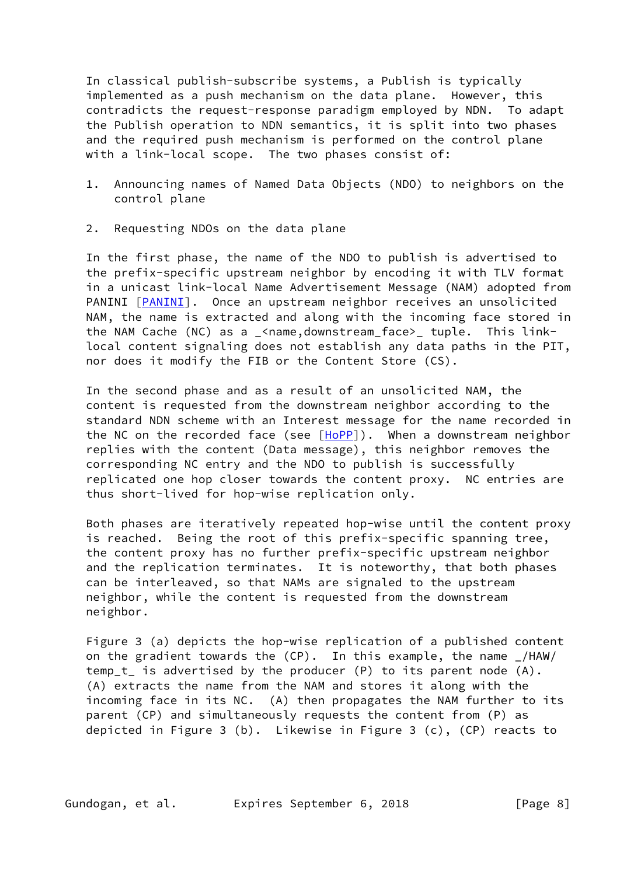In classical publish-subscribe systems, a Publish is typically implemented as a push mechanism on the data plane. However, this contradicts the request-response paradigm employed by NDN. To adapt the Publish operation to NDN semantics, it is split into two phases and the required push mechanism is performed on the control plane with a link-local scope. The two phases consist of:

- 1. Announcing names of Named Data Objects (NDO) to neighbors on the control plane
- 2. Requesting NDOs on the data plane

 In the first phase, the name of the NDO to publish is advertised to the prefix-specific upstream neighbor by encoding it with TLV format in a unicast link-local Name Advertisement Message (NAM) adopted from PANINI [\[PANINI](#page-14-3)]. Once an upstream neighbor receives an unsolicited NAM, the name is extracted and along with the incoming face stored in the NAM Cache (NC) as a \_<name,downstream\_face>\_ tuple. This link local content signaling does not establish any data paths in the PIT, nor does it modify the FIB or the Content Store (CS).

 In the second phase and as a result of an unsolicited NAM, the content is requested from the downstream neighbor according to the standard NDN scheme with an Interest message for the name recorded in the NC on the recorded face (see  $[HoPP]$  $[HoPP]$ ). When a downstream neighbor replies with the content (Data message), this neighbor removes the corresponding NC entry and the NDO to publish is successfully replicated one hop closer towards the content proxy. NC entries are thus short-lived for hop-wise replication only.

 Both phases are iteratively repeated hop-wise until the content proxy is reached. Being the root of this prefix-specific spanning tree, the content proxy has no further prefix-specific upstream neighbor and the replication terminates. It is noteworthy, that both phases can be interleaved, so that NAMs are signaled to the upstream neighbor, while the content is requested from the downstream neighbor.

 Figure 3 (a) depicts the hop-wise replication of a published content on the gradient towards the (CP). In this example, the name \_/HAW/ temp\_t\_ is advertised by the producer (P) to its parent node (A). (A) extracts the name from the NAM and stores it along with the incoming face in its NC. (A) then propagates the NAM further to its parent (CP) and simultaneously requests the content from (P) as depicted in Figure 3 (b). Likewise in Figure 3 (c), (CP) reacts to

Gundogan, et al. Expires September 6, 2018 [Page 8]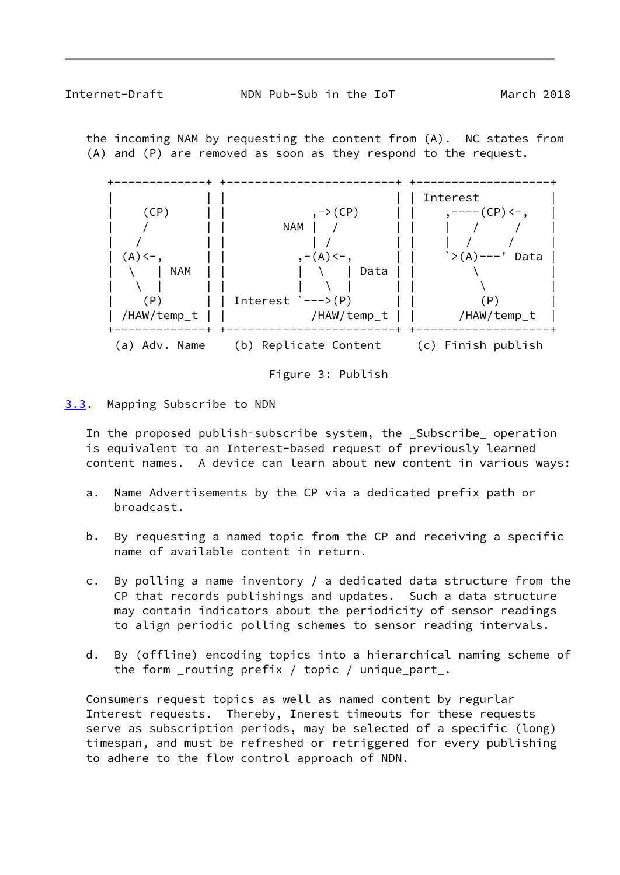<span id="page-9-1"></span> the incoming NAM by requesting the content from (A). NC states from (A) and (P) are removed as soon as they respond to the request.





<span id="page-9-0"></span>[3.3](#page-9-0). Mapping Subscribe to NDN

 In the proposed publish-subscribe system, the \_Subscribe\_ operation is equivalent to an Interest-based request of previously learned content names. A device can learn about new content in various ways:

- a. Name Advertisements by the CP via a dedicated prefix path or broadcast.
- b. By requesting a named topic from the CP and receiving a specific name of available content in return.
- c. By polling a name inventory / a dedicated data structure from the CP that records publishings and updates. Such a data structure may contain indicators about the periodicity of sensor readings to align periodic polling schemes to sensor reading intervals.
- d. By (offline) encoding topics into a hierarchical naming scheme of the form \_routing prefix / topic / unique\_part\_.

 Consumers request topics as well as named content by regurlar Interest requests. Thereby, Inerest timeouts for these requests serve as subscription periods, may be selected of a specific (long) timespan, and must be refreshed or retriggered for every publishing to adhere to the flow control approach of NDN.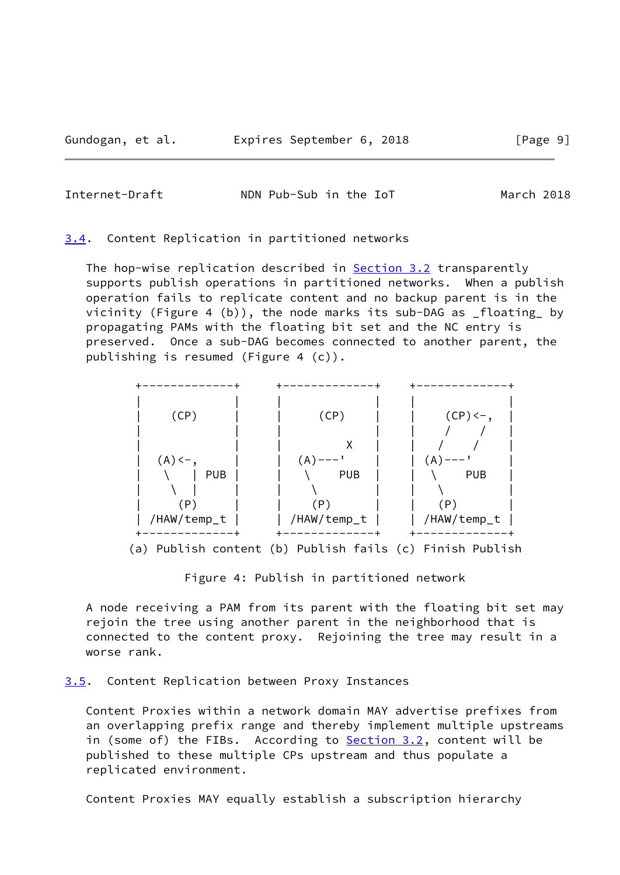<span id="page-10-1"></span>Internet-Draft NDN Pub-Sub in the IoT March 2018

<span id="page-10-0"></span>[3.4](#page-10-0). Content Replication in partitioned networks

The hop-wise replication described in **Section 3.2** transparently supports publish operations in partitioned networks. When a publish operation fails to replicate content and no backup parent is in the vicinity (Figure 4 (b)), the node marks its sub-DAG as \_floating\_ by propagating PAMs with the floating bit set and the NC entry is preserved. Once a sub-DAG becomes connected to another parent, the publishing is resumed (Figure 4 (c)).



Figure 4: Publish in partitioned network

 A node receiving a PAM from its parent with the floating bit set may rejoin the tree using another parent in the neighborhood that is connected to the content proxy. Rejoining the tree may result in a worse rank.

#### <span id="page-10-2"></span>[3.5](#page-10-2). Content Replication between Proxy Instances

 Content Proxies within a network domain MAY advertise prefixes from an overlapping prefix range and thereby implement multiple upstreams in (some of) the FIBs. According to **Section 3.2**, content will be published to these multiple CPs upstream and thus populate a replicated environment.

Content Proxies MAY equally establish a subscription hierarchy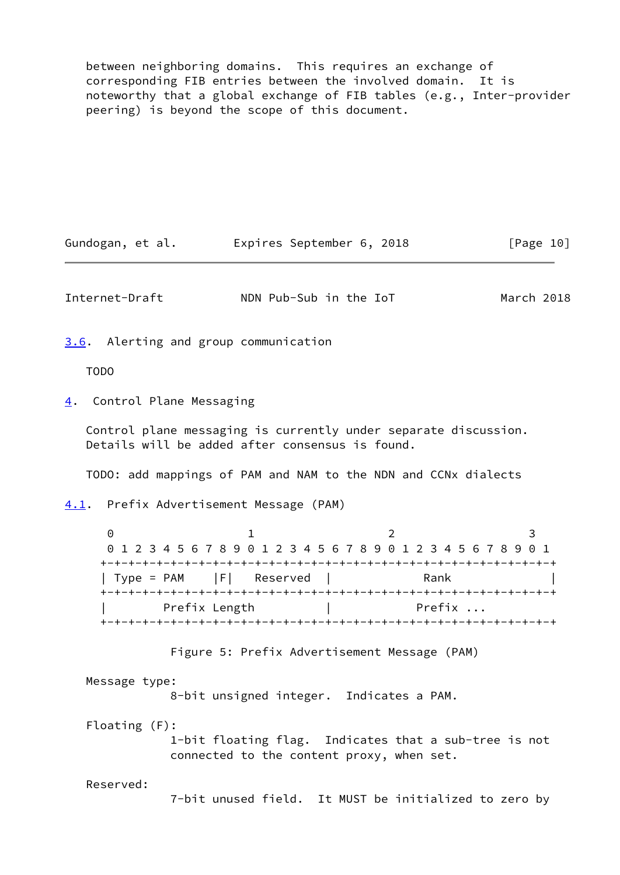between neighboring domains. This requires an exchange of corresponding FIB entries between the involved domain. It is noteworthy that a global exchange of FIB tables (e.g., Inter-provider peering) is beyond the scope of this document.

<span id="page-11-3"></span><span id="page-11-2"></span><span id="page-11-1"></span><span id="page-11-0"></span>Gundogan, et al. 
Expires September 6, 2018

[Page 10] Internet-Draft NDN Pub-Sub in the IoT March 2018 [3.6](#page-11-0). Alerting and group communication TODO [4](#page-11-2). Control Plane Messaging Control plane messaging is currently under separate discussion. Details will be added after consensus is found. TODO: add mappings of PAM and NAM to the NDN and CCNx dialects [4.1](#page-11-3). Prefix Advertisement Message (PAM) 0 1 2 3 0 1 2 3 4 5 6 7 8 9 0 1 2 3 4 5 6 7 8 9 0 1 2 3 4 5 6 7 8 9 0 1 +-+-+-+-+-+-+-+-+-+-+-+-+-+-+-+-+-+-+-+-+-+-+-+-+-+-+-+-+-+-+-+-+ | Type = PAM | F| Reserved | Rank +-+-+-+-+-+-+-+-+-+-+-+-+-+-+-+-+-+-+-+-+-+-+-+-+-+-+-+-+-+-+-+-+ | Prefix Length | Prefix ... +-+-+-+-+-+-+-+-+-+-+-+-+-+-+-+-+-+-+-+-+-+-+-+-+-+-+-+-+-+-+-+-+ Figure 5: Prefix Advertisement Message (PAM) Message type: 8-bit unsigned integer. Indicates a PAM. Floating (F): 1-bit floating flag. Indicates that a sub-tree is not connected to the content proxy, when set. Reserved: 7-bit unused field. It MUST be initialized to zero by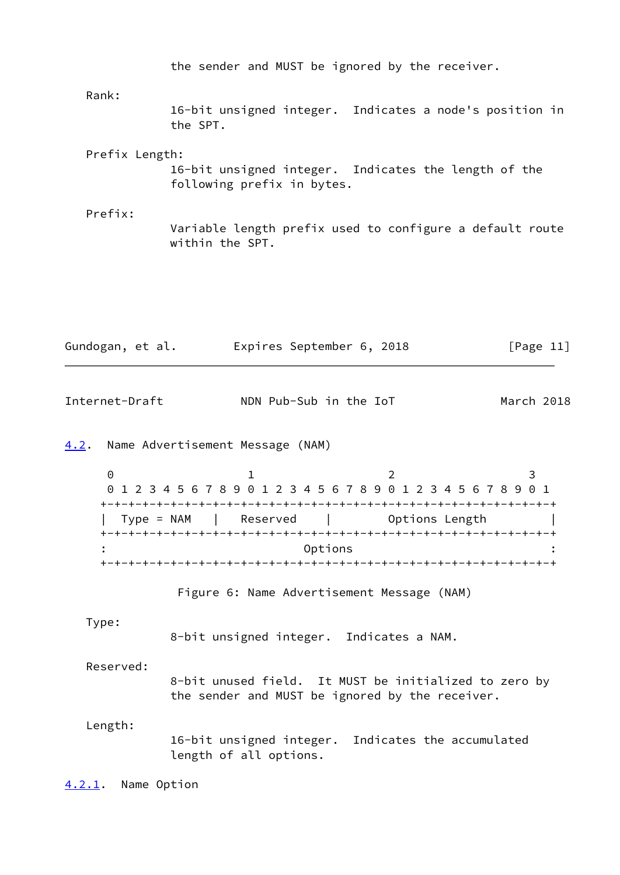<span id="page-12-2"></span><span id="page-12-1"></span><span id="page-12-0"></span>

|                       | the sender and MUST be ignored by the receiver.                                                          |   |              |
|-----------------------|----------------------------------------------------------------------------------------------------------|---|--------------|
| Rank:                 |                                                                                                          |   |              |
|                       | 16-bit unsigned integer. Indicates a node's position in<br>the SPT.                                      |   |              |
| Prefix Length:        | 16-bit unsigned integer. Indicates the length of the<br>following prefix in bytes.                       |   |              |
| Prefix:               | Variable length prefix used to configure a default route<br>within the SPT.                              |   |              |
| Gundogan, et al.      | Expires September 6, 2018                                                                                |   | [Page $11$ ] |
|                       |                                                                                                          |   |              |
| Internet-Draft        | NDN Pub-Sub in the IoT                                                                                   |   | March 2018   |
| 4.2.                  | Name Advertisement Message (NAM)                                                                         |   |              |
| $\Theta$              | $\mathbf 1$<br>0 1 2 3 4 5 6 7 8 9 0 1 2 3 4 5 6 7 8 9 0 1 2 3 4 5 6 7 8 9 0 1                           | 2 | 3            |
|                       | Type = NAM       Reserved                 Options Length                                                 |   |              |
|                       | Options                                                                                                  |   |              |
|                       | Figure 6: Name Advertisement Message (NAM)                                                               |   |              |
| Type:                 | 8-bit unsigned integer. Indicates a NAM.                                                                 |   |              |
| Reserved:             | 8-bit unused field. It MUST be initialized to zero by<br>the sender and MUST be ignored by the receiver. |   |              |
| Length:               | 16-bit unsigned integer. Indicates the accumulated<br>length of all options.                             |   |              |
| Name Option<br>4.2.1. |                                                                                                          |   |              |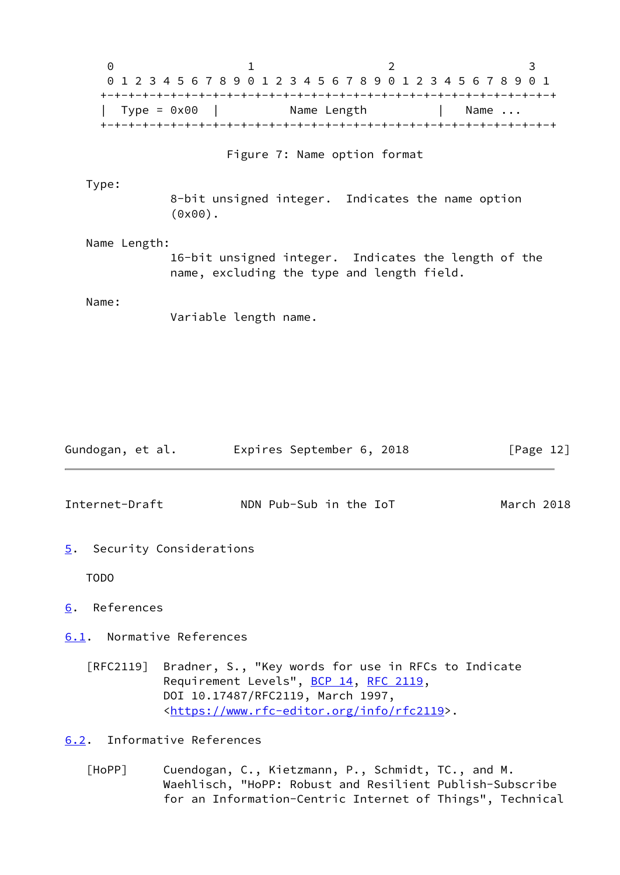0 1 2 3 0 1 2 3 4 5 6 7 8 9 0 1 2 3 4 5 6 7 8 9 0 1 2 3 4 5 6 7 8 9 0 1 +-+-+-+-+-+-+-+-+-+-+-+-+-+-+-+-+-+-+-+-+-+-+-+-+-+-+-+-+-+-+-+-+ | Type = 0x00 | Name Length | Name ... +-+-+-+-+-+-+-+-+-+-+-+-+-+-+-+-+-+-+-+-+-+-+-+-+-+-+-+-+-+-+-+-+ Figure 7: Name option format Type: 8-bit unsigned integer. Indicates the name option (0x00). Name Length: 16-bit unsigned integer. Indicates the length of the name, excluding the type and length field. Name: Variable length name. Gundogan, et al. Expires September 6, 2018 [Page 12] Internet-Draft NDN Pub-Sub in the IoT March 2018

<span id="page-13-1"></span><span id="page-13-0"></span>[5](#page-13-0). Security Considerations

TODO

<span id="page-13-2"></span>[6](#page-13-2). References

<span id="page-13-3"></span>[6.1](#page-13-3). Normative References

 [RFC2119] Bradner, S., "Key words for use in RFCs to Indicate Requirement Levels", [BCP 14](https://datatracker.ietf.org/doc/pdf/bcp14), [RFC 2119](https://datatracker.ietf.org/doc/pdf/rfc2119), DOI 10.17487/RFC2119, March 1997, <[https://www.rfc-editor.org/info/rfc2119>](https://www.rfc-editor.org/info/rfc2119).

<span id="page-13-4"></span>[6.2](#page-13-4). Informative References

<span id="page-13-5"></span> [HoPP] Cuendogan, C., Kietzmann, P., Schmidt, TC., and M. Waehlisch, "HoPP: Robust and Resilient Publish-Subscribe for an Information-Centric Internet of Things", Technical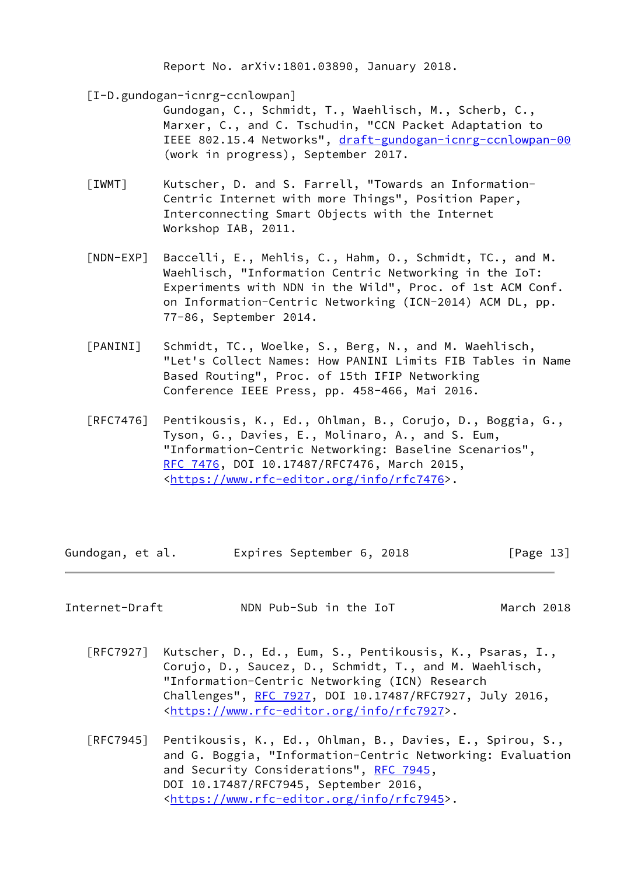Report No. arXiv:1801.03890, January 2018.

<span id="page-14-1"></span>[I-D.gundogan-icnrg-ccnlowpan]

 Gundogan, C., Schmidt, T., Waehlisch, M., Scherb, C., Marxer, C., and C. Tschudin, "CCN Packet Adaptation to IEEE 802.15.4 Networks", [draft-gundogan-icnrg-ccnlowpan-00](https://datatracker.ietf.org/doc/pdf/draft-gundogan-icnrg-ccnlowpan-00) (work in progress), September 2017.

- <span id="page-14-2"></span> [IWMT] Kutscher, D. and S. Farrell, "Towards an Information- Centric Internet with more Things", Position Paper, Interconnecting Smart Objects with the Internet Workshop IAB, 2011.
- <span id="page-14-0"></span> [NDN-EXP] Baccelli, E., Mehlis, C., Hahm, O., Schmidt, TC., and M. Waehlisch, "Information Centric Networking in the IoT: Experiments with NDN in the Wild", Proc. of 1st ACM Conf. on Information-Centric Networking (ICN-2014) ACM DL, pp. 77-86, September 2014.
- <span id="page-14-3"></span> [PANINI] Schmidt, TC., Woelke, S., Berg, N., and M. Waehlisch, "Let's Collect Names: How PANINI Limits FIB Tables in Name Based Routing", Proc. of 15th IFIP Networking Conference IEEE Press, pp. 458-466, Mai 2016.
- [RFC7476] Pentikousis, K., Ed., Ohlman, B., Corujo, D., Boggia, G., Tyson, G., Davies, E., Molinaro, A., and S. Eum, "Information-Centric Networking: Baseline Scenarios", [RFC 7476,](https://datatracker.ietf.org/doc/pdf/rfc7476) DOI 10.17487/RFC7476, March 2015, <[https://www.rfc-editor.org/info/rfc7476>](https://www.rfc-editor.org/info/rfc7476).

| Gundogan, et al. | Expires September 6, 2018 |  | [Page 13] |
|------------------|---------------------------|--|-----------|
|------------------|---------------------------|--|-----------|

Internet-Draft NDN Pub-Sub in the IoT March 2018

- [RFC7927] Kutscher, D., Ed., Eum, S., Pentikousis, K., Psaras, I., Corujo, D., Saucez, D., Schmidt, T., and M. Waehlisch, "Information-Centric Networking (ICN) Research Challenges", [RFC 7927](https://datatracker.ietf.org/doc/pdf/rfc7927), DOI 10.17487/RFC7927, July 2016, <[https://www.rfc-editor.org/info/rfc7927>](https://www.rfc-editor.org/info/rfc7927).
- [RFC7945] Pentikousis, K., Ed., Ohlman, B., Davies, E., Spirou, S., and G. Boggia, "Information-Centric Networking: Evaluation and Security Considerations", [RFC 7945](https://datatracker.ietf.org/doc/pdf/rfc7945), DOI 10.17487/RFC7945, September 2016, <[https://www.rfc-editor.org/info/rfc7945>](https://www.rfc-editor.org/info/rfc7945).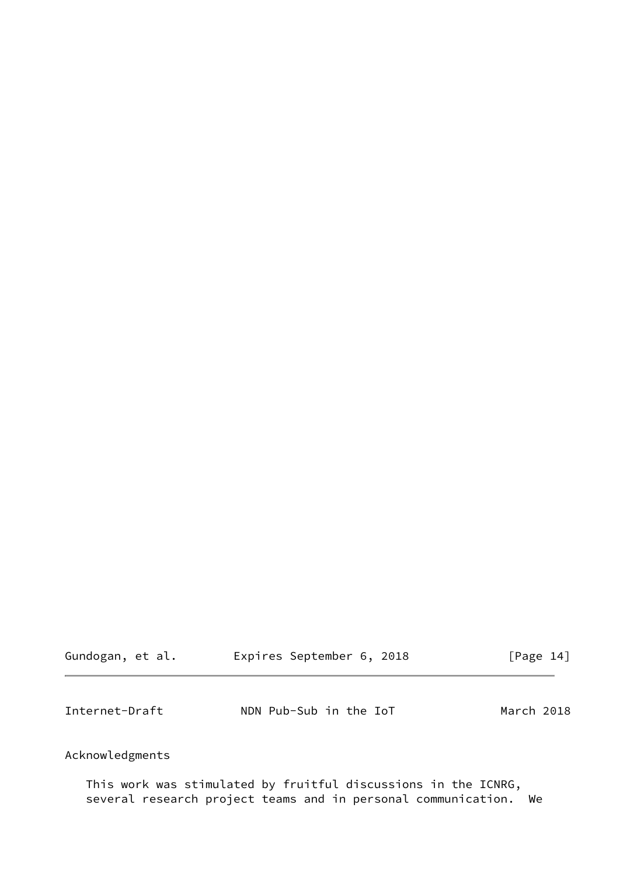<span id="page-15-0"></span>

| Gundogan, et al. | Expires September 6, 2018 | [Page 14]  |
|------------------|---------------------------|------------|
| Internet-Draft   | NDN Pub-Sub in the IoT    | March 2018 |

# Acknowledgments

 This work was stimulated by fruitful discussions in the ICNRG, several research project teams and in personal communication. We